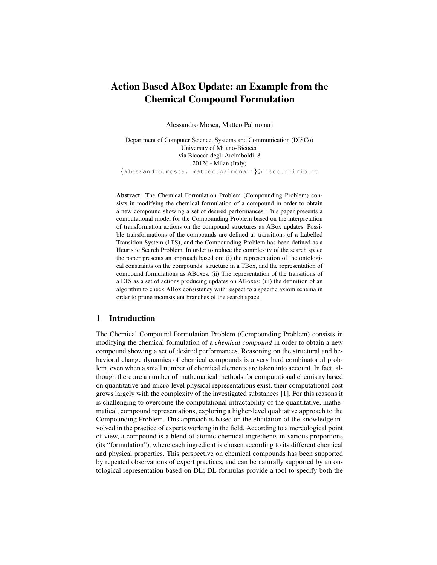# Action Based ABox Update: an Example from the Chemical Compound Formulation

Alessandro Mosca, Matteo Palmonari

Department of Computer Science, Systems and Communication (DISCo) University of Milano-Bicocca via Bicocca degli Arcimboldi, 8 20126 - Milan (Italy) {alessandro.mosca, matteo.palmonari}@disco.unimib.it

Abstract. The Chemical Formulation Problem (Compounding Problem) consists in modifying the chemical formulation of a compound in order to obtain a new compound showing a set of desired performances. This paper presents a computational model for the Compounding Problem based on the interpretation of transformation actions on the compound structures as ABox updates. Possible transformations of the compounds are defined as transitions of a Labelled Transition System (LTS), and the Compounding Problem has been defined as a Heuristic Search Problem. In order to reduce the complexity of the search space the paper presents an approach based on: (i) the representation of the ontological constraints on the compounds' structure in a TBox, and the representation of compound formulations as ABoxes. (ii) The representation of the transitions of a LTS as a set of actions producing updates on ABoxes; (iii) the definition of an algorithm to check ABox consistency with respect to a specific axiom schema in order to prune inconsistent branches of the search space.

## 1 Introduction

The Chemical Compound Formulation Problem (Compounding Problem) consists in modifying the chemical formulation of a *chemical compound* in order to obtain a new compound showing a set of desired performances. Reasoning on the structural and behavioral change dynamics of chemical compounds is a very hard combinatorial problem, even when a small number of chemical elements are taken into account. In fact, although there are a number of mathematical methods for computational chemistry based on quantitative and micro-level physical representations exist, their computational cost grows largely with the complexity of the investigated substances [1]. For this reasons it is challenging to overcome the computational intractability of the quantitative, mathematical, compound representations, exploring a higher-level qualitative approach to the Compounding Problem. This approach is based on the elicitation of the knowledge involved in the practice of experts working in the field. According to a mereological point of view, a compound is a blend of atomic chemical ingredients in various proportions (its "formulation"), where each ingredient is chosen according to its different chemical and physical properties. This perspective on chemical compounds has been supported by repeated observations of expert practices, and can be naturally supported by an ontological representation based on DL; DL formulas provide a tool to specify both the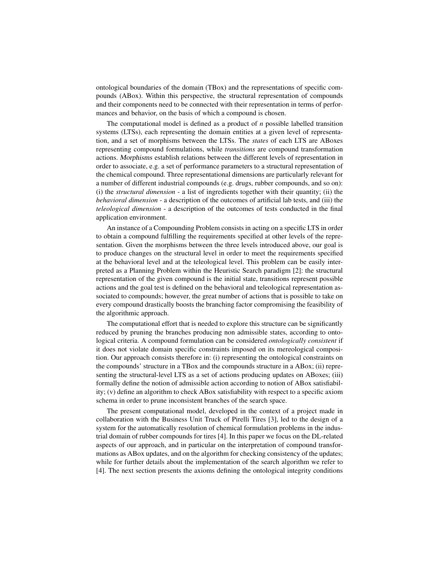ontological boundaries of the domain (TBox) and the representations of specific compounds (ABox). Within this perspective, the structural representation of compounds and their components need to be connected with their representation in terms of performances and behavior, on the basis of which a compound is chosen.

The computational model is defined as a product of *n* possible labelled transition systems (LTSs), each representing the domain entities at a given level of representation, and a set of morphisms between the LTSs. The *states* of each LTS are ABoxes representing compound formulations, while *transitions* are compound transformation actions. Morphisms establish relations between the different levels of representation in order to associate, e.g. a set of performance parameters to a structural representation of the chemical compound. Three representational dimensions are particularly relevant for a number of different industrial compounds (e.g. drugs, rubber compounds, and so on): (i) the *structural dimension* - a list of ingredients together with their quantity; (ii) the *behavioral dimension* - a description of the outcomes of artificial lab tests, and (iii) the *teleological dimension* - a description of the outcomes of tests conducted in the final application environment.

An instance of a Compounding Problem consists in acting on a specific LTS in order to obtain a compound fulfilling the requirements specified at other levels of the representation. Given the morphisms between the three levels introduced above, our goal is to produce changes on the structural level in order to meet the requirements specified at the behavioral level and at the teleological level. This problem can be easily interpreted as a Planning Problem within the Heuristic Search paradigm [2]: the structural representation of the given compound is the initial state, transitions represent possible actions and the goal test is defined on the behavioral and teleological representation associated to compounds; however, the great number of actions that is possible to take on every compound drastically boosts the branching factor compromising the feasibility of the algorithmic approach.

The computational effort that is needed to explore this structure can be significantly reduced by pruning the branches producing non admissible states, according to ontological criteria. A compound formulation can be considered *ontologically consistent* if it does not violate domain specific constraints imposed on its mereological composition. Our approach consists therefore in: (i) representing the ontological constraints on the compounds' structure in a TBox and the compounds structure in a ABox; (ii) representing the structural-level LTS as a set of actions producing updates on ABoxes; (iii) formally define the notion of admissible action according to notion of ABox satisfiability; (v) define an algorithm to check ABox satisfiability with respect to a specific axiom schema in order to prune inconsistent branches of the search space.

The present computational model, developed in the context of a project made in collaboration with the Business Unit Truck of Pirelli Tires [3], led to the design of a system for the automatically resolution of chemical formulation problems in the industrial domain of rubber compounds for tires [4]. In this paper we focus on the DL-related aspects of our approach, and in particular on the interpretation of compound transformations as ABox updates, and on the algorithm for checking consistency of the updates; while for further details about the implementation of the search algorithm we refer to [4]. The next section presents the axioms defining the ontological integrity conditions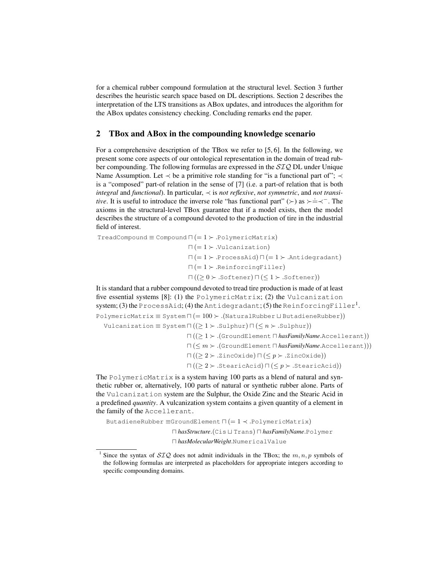for a chemical rubber compound formulation at the structural level. Section 3 further describes the heuristic search space based on DL descriptions. Section 2 describes the interpretation of the LTS transitions as ABox updates, and introduces the algorithm for the ABox updates consistency checking. Concluding remarks end the paper.

#### 2 TBox and ABox in the compounding knowledge scenario

For a comprehensive description of the TBox we refer to [5, 6]. In the following, we present some core aspects of our ontological representation in the domain of tread rubber compounding. The following formulas are expressed in the SIQ DL under Unique Name Assumption. Let  $\prec$  be a primitive role standing for "is a functional part of";  $\prec$ is a "composed" part-of relation in the sense of [7] (i.e. a part-of relation that is both *integral* and *functional*). In particular, ≺ is *not reflexive*, *not symmetric*, and *not transitive*. It is useful to introduce the inverse role "has functional part" (>) as >  $\div \div$ . The axioms in the structural-level TBox guarantee that if a model exists, then the model describes the structure of a compound devoted to the production of tire in the industrial field of interest.

 $TreadCompound \equiv Compound \sqcap (= 1 \succ .PolymericMatrix)$  $\sqcap (= 1 \succ$  .Vulcanization)  $\Pi (= 1 \succ$  ProcessAid)  $\Pi (= 1 \succ$  Antidegradant)  $\sqcap (= 1 \succ$  ReinforcingFiller)  $\Pi ((\geq 0 \succ .\text{Softener}) \sqcap (\leq 1 \succ .\text{Softener}))$ 

It is standard that a rubber compound devoted to tread tire production is made of at least five essential systems [8]: (1) the PolymericMatrix; (2) the Vulcanization system; (3) the ProcessAid; (4) the Antidegradant; (5) the ReinforcingFiller<sup>1</sup>.  $PolymericMatrix \equiv System \sqcap (= 100 \succ (Natural Rubber \sqcup Butadiene Rubber))$ 

Vulcanization  $\equiv$  System  $\Pi$  (( $\geq$  1  $\succ$  .Sulphur)  $\Pi$  ( $\leq$  n  $\succ$  .Sulphur))

 $\sqcap ((\geq 1 \succ .(\text{GroundElement } \sqcap \text{hasFamilyName}.\text{Accept} \sqcap)))$  $\sqcap$  ( $\leq m$   $\succ$  .(GroundElement  $\sqcap$  *hasFamilyName*.Accellerant)))  $\sqcap ((> 2 \succ . \text{ZincOxide}) \sqcap (< p \succ . \text{ZincOxide}))$  $\sqcap ((\geq 2 \succ \text{.StearicAcid}) \sqcap (\leq p \succ \text{.StearicAcid}))$ 

The PolymericMatrix is a system having 100 parts as a blend of natural and synthetic rubber or, alternatively, 100 parts of natural or synthetic rubber alone. Parts of the Vulcanization system are the Sulphur, the Oxide Zinc and the Stearic Acid in a predefined *quantity*. A vulcanization system contains a given quantity of a element in the family of the Accellerant.

ButadieneRubber  $\equiv$ GroundElement  $\sqcap$  (= 1  $\prec$  .PolymericMatrix) u *hasStructure*.(Cis t Trans) u *hasFamilyName*.Polymer u *hasMolecularWeight*.NumericalValue

<sup>&</sup>lt;sup>1</sup> Since the syntax of  $STQ$  does not admit individuals in the TBox; the  $m, n, p$  symbols of the following formulas are interpreted as placeholders for appropriate integers according to specific compounding domains.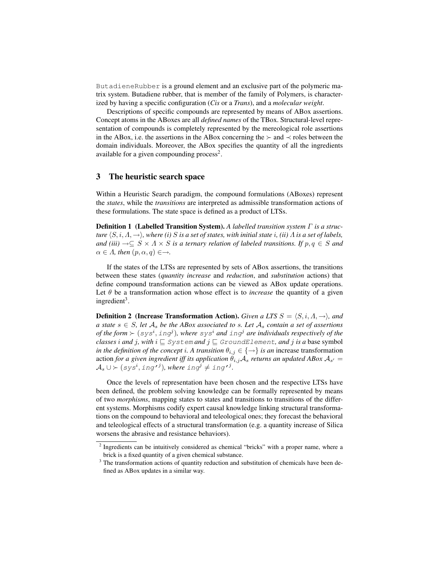ButadieneRubber is a ground element and an exclusive part of the polymeric matrix system. Butadiene rubber, that is member of the family of Polymers, is characterized by having a specific configuration (*Cis* or a *Trans*), and a *molecular weight*.

Descriptions of specific compounds are represented by means of ABox assertions. Concept atoms in the ABoxes are all *defined names* of the TBox. Structural-level representation of compounds is completely represented by the mereological role assertions in the ABox, i.e. the assertions in the ABox concerning the  $\succ$  and  $\prec$  roles between the domain individuals. Moreover, the ABox specifies the quantity of all the ingredients available for a given compounding process<sup>2</sup>.

#### 3 The heuristic search space

Within a Heuristic Search paradigm, the compound formulations (ABoxes) represent the *states*, while the *transitions* are interpreted as admissible transformation actions of these formulations. The state space is defined as a product of LTSs.

Definition 1 (Labelled Transition System). *A labelled transition system* Γ *is a structure*  $\langle S, i, \Lambda, \to \rangle$ *, where (i)* S *is a set of states, with initial state i, (ii)*  $\Lambda$  *is a set of labels, and (iii)*  $\rightarrow \subseteq S \times \Lambda \times S$  *is a ternary relation of labeled transitions. If*  $p, q \in S$  *and*  $\alpha \in \Lambda$ , then  $(p, \alpha, q) \in \rightarrow$ .

If the states of the LTSs are represented by sets of ABox assertions, the transitions between these states (*quantity increase* and *reduction*, and *substitution* actions) that define compound transformation actions can be viewed as ABox update operations. Let  $\theta$  be a transformation action whose effect is to *increase* the quantity of a given ingredient<sup>3</sup>.

**Definition 2** (Increase Transformation Action). *Given a LTS*  $S = \langle S, i, A, \rightarrow \rangle$ *, and a* state *s* ∈ *S*, let  $A_s$  *be the ABox associated to s. Let*  $A_s$  *contain a set of assertions of the form*  $\succ$  ( $sys^i$ ,  $ing^j$ ), where  $sys^i$  and  $ing^j$  are individuals respectively of the *classes i* and *j*, with  $i \subseteq S$ ystem and  $j \subseteq G$ roundElement, and *j* is a base symbol *in the definition of the concept i. A transition*  $\theta_{i,j} \in \{\rightarrow\}$  *is an* increase transformation action *for a given ingredient iff its application*  $\theta_{i,j} A_s$  *returns an updated ABox*  $A_{s'} =$  $\mathcal{A}_s\cup \succ (sys^i,$  ing $\prime^j)$ , where  $ing^j\neq ing^{\prime j}.$ 

Once the levels of representation have been chosen and the respective LTSs have been defined, the problem solving knowledge can be formally represented by means of two *morphisms*, mapping states to states and transitions to transitions of the different systems. Morphisms codify expert causal knowledge linking structural transformations on the compound to behavioral and teleological ones; they forecast the behavioral and teleological effects of a structural transformation (e.g. a quantity increase of Silica worsens the abrasive and resistance behaviors).

<sup>&</sup>lt;sup>2</sup> Ingredients can be intuitively considered as chemical "bricks" with a proper name, where a brick is a fixed quantity of a given chemical substance.

<sup>&</sup>lt;sup>3</sup> The transformation actions of quantity reduction and substitution of chemicals have been defined as ABox updates in a similar way.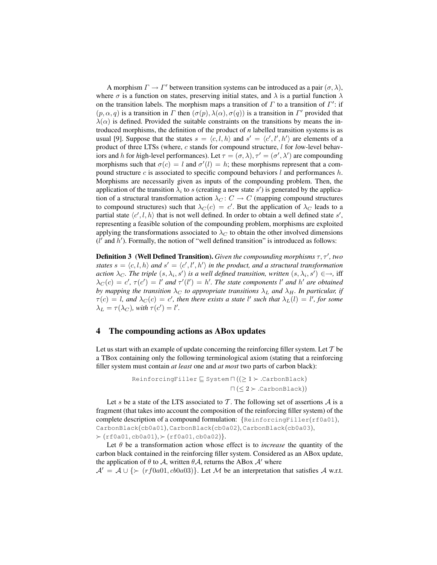A morphism  $\Gamma \to \Gamma'$  between transition systems can be introduced as a pair  $(\sigma, \lambda)$ , where  $\sigma$  is a function on states, preserving initial states, and  $\lambda$  is a partial function  $\lambda$ on the transition labels. The morphism maps a transition of  $\Gamma$  to a transition of  $\Gamma'$ : if  $(p, \alpha, q)$  is a transition in  $\Gamma$  then  $(\sigma(p), \lambda(\alpha), \sigma(q))$  is a transition in  $\Gamma'$  provided that  $\lambda(\alpha)$  is defined. Provided the suitable constraints on the transitions by means the introduced morphisms, the definition of the product of *n* labelled transition systems is as usual [9]. Suppose that the states  $s = \langle c, l, h \rangle$  and  $s' = \langle c', l', h' \rangle$  are elements of a product of three LTSs (where, c stands for *c*ompound structure, l for *l*ow-level behaviors and h for high-level performances). Let  $\tau = (\sigma, \lambda), \tau' = (\sigma', \lambda')$  are compounding morphisms such that  $\sigma(c) = l$  and  $\sigma'(l) = h$ ; these morphisms represent that a compound structure  $c$  is associated to specific compound behaviors  $l$  and performances  $h$ . Morphisms are necessarily given as inputs of the compounding problem. Then, the application of the transition  $\lambda_i$  to s (creating a new state s') is generated by the application of a structural transformation action  $\lambda_C : C \to C$  (mapping compound structures to compound structures) such that  $\lambda_C(c) = c'$ . But the application of  $\lambda_C$  leads to a partial state  $\langle c', l, h \rangle$  that is not well defined. In order to obtain a well defined state s', representing a feasible solution of the compounding problem, morphisms are exploited applying the transformations associated to  $\lambda_C$  to obtain the other involved dimensions  $(l'$  and  $h'$ ). Formally, the notion of "well defined transition" is introduced as follows:

**Definition 3 (Well Defined Transition).** Given the compounding morphisms  $\tau$ ,  $\tau'$ , two *states*  $s = \langle c, l, h \rangle$  *and*  $s' = \langle c', l', h' \rangle$  *in the product, and a structural transformation* action  $\lambda_C$ . The triple  $(s, \lambda_i, s')$  is a well defined transition, written  $(s, \lambda_i, s') \in \rightarrow$ , iff  $\lambda_C(c) = c'$ ,  $\tau(c') = l'$  and  $\tau'(l') = h'$ . The state components l' and h' are obtained *by mapping the transition*  $\lambda_C$  *to appropriate transitions*  $\lambda_L$  *and*  $\lambda_H$ *. In particular, if*  $\tau(c) = l$ , and  $\lambda_C(c) = c'$ , then there exists a state l' such that  $\lambda_L(l) = l'$ , for some  $\lambda_L = \tau(\lambda_C)$ , with  $\tau(c') = l'$ .

### 4 The compounding actions as ABox updates

Let us start with an example of update concerning the reinforcing filler system. Let  $T$  be a TBox containing only the following terminological axiom (stating that a reinforcing filler system must contain *at least* one and *at most* two parts of carbon black):

```
ReinforcingFiller \subseteq System \Pi ((\geq 1 \succ .CarbonBlack)
                            \sqcap (\leq 2 \succ .CarbonBlack))
```
Let s be a state of the LTS associated to T. The following set of assertions  $A$  is a fragment (that takes into account the composition of the reinforcing filler system) of the complete description of a compound formulation: {ReinforcingFiller(rf0a01), CarbonBlack(cb0a01), CarbonBlack(cb0a02), CarbonBlack(cb0a03),  $\succ$  (rf0a01, cb0a01),  $\succ$  (rf0a01, cb0a02)}.

Let  $\theta$  be a transformation action whose effect is to *increase* the quantity of the carbon black contained in the reinforcing filler system. Considered as an ABox update, the application of  $\theta$  to  $\mathcal{A}$ , written  $\theta \mathcal{A}$ , returns the ABox  $\mathcal{A}'$  where

 $A' = A \cup \{\succ (r \cdot f0a01, cb0a03)\}\.$  Let M be an interpretation that satisfies A w.r.t.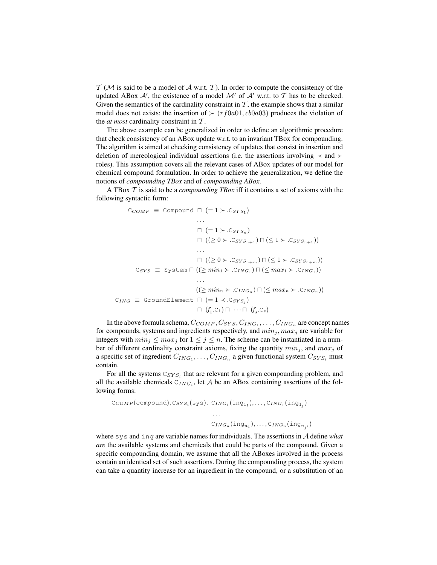$T$  ( $M$  is said to be a model of  $A$  w.r.t.  $T$ ). In order to compute the consistency of the updated ABox  $A'$ , the existence of a model  $M'$  of  $A'$  w.r.t. to  $T$  has to be checked. Given the semantics of the cardinality constraint in  $\mathcal T$ , the example shows that a similar model does not exists: the insertion of  $\leftarrow (rf0a01, cb0a03)$  produces the violation of the *at most* cardinality constraint in T .

The above example can be generalized in order to define an algorithmic procedure that check consistency of an ABox update w.r.t. to an invariant TBox for compounding. The algorithm is aimed at checking consistency of updates that consist in insertion and deletion of mereological individual assertions (i.e. the assertions involving  $\prec$  and  $\succ$ roles). This assumption covers all the relevant cases of ABox updates of our model for chemical compound formulation. In order to achieve the generalization, we define the notions of *compounding TBox* and of *compounding ABox*.

A TBox T is said to be a *compounding TBox* iff it contains a set of axioms with the following syntactic form:

$$
C_{COMP} \equiv \text{Compound } \sqcap (=1 \succ C_{SYS_1})
$$
  
\n...  
\n
$$
\sqcap (=1 \succ C_{SYS_n})
$$
  
\n
$$
\sqcap ((\ge 0 \succ C_{SYS_{n+1}}) \sqcap (\le 1 \succ C_{SYS_{n+1}}))
$$
  
\n...  
\n
$$
\sqcap ((\ge 0 \succ C_{SYS_{n+m}}) \sqcap (\le 1 \succ C_{SYS_{n+m}}))
$$
  
\n
$$
C_{SYS} \equiv \text{System } \sqcap ((\ge min_1 \succ C_{ING_1}) \sqcap (\le max_1 \succ C_{ING_1}))
$$
  
\n...  
\n
$$
((\ge min_n \succ C_{ING_n}) \sqcap (\le max_n \succ C_{ING_n}))
$$
  
\n
$$
\sqcap (f_1.C_1) \sqcap \cdots \sqcap (f_s.C_s)
$$

In the above formula schema,  $C_{COMP},C_{SYS},C_{ING_1},\ldots,C_{ING_n}$  are concept names for compounds, systems and ingredients respectively, and  $min_j, max_j$  are variable for integers with  $min_j \leq max_j$  for  $1 \leq j \leq n$ . The scheme can be instantiated in a number of different cardinality constraint axioms, fixing the quantity  $min_j$ , and  $max_j$  of a specific set of ingredient  $C_{ING_1}, \ldots, C_{ING_n}$  a given functional system  $C_{SYS_i}$  must contain.

For all the systems  $C_{SYS_i}$  that are relevant for a given compounding problem, and all the available chemicals  $C_{ING_i}$ , let A be an ABox containing assertions of the following forms:

$$
C_{COMP}(\text{compound}), C_{SYS_i}(\text{sys}), C_{ING_1}(\text{ing}_{1_1}), \dots, C_{ING_1}(\text{ing}_{1_j})
$$

$$
\dots
$$

$$
C_{ING_n}(\text{ing}_{n_1}), \dots, C_{ING_n}(\text{ing}_{n_j})
$$

where sys and ing are variable names for individuals. The assertions in A define *what are* the available systems and chemicals that could be parts of the compound. Given a specific compounding domain, we assume that all the ABoxes involved in the process contain an identical set of such assertions. During the compounding process, the system can take a quantity increase for an ingredient in the compound, or a substitution of an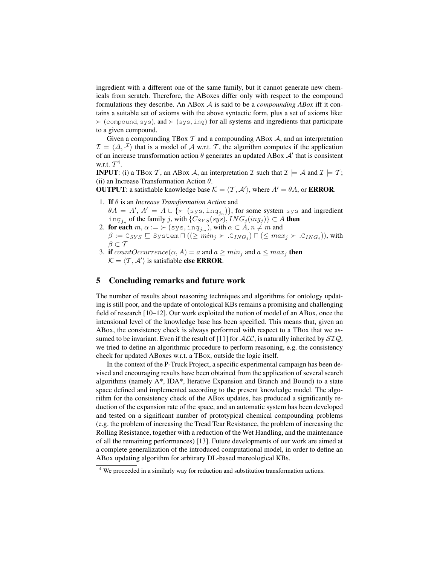ingredient with a different one of the same family, but it cannot generate new chemicals from scratch. Therefore, the ABoxes differ only with respect to the compound formulations they describe. An ABox A is said to be a *compounding ABox* iff it contains a suitable set of axioms with the above syntactic form, plus a set of axioms like:  $\succ$  (compound, sys), and  $\succ$  (sys, ing) for all systems and ingredients that participate to a given compound.

Given a compounding TBox  $\mathcal T$  and a compounding ABox  $\mathcal A$ , and an interpretation  $\mathcal{I} = \langle \Delta, \cdot^{\mathcal{I}} \rangle$  that is a model of A w.r.t. T, the algorithm computes if the application of an increase transformation action  $\theta$  generates an updated ABox  $\mathcal{A}'$  that is consistent w.r.t.  $\mathcal{T}^4$ .

**INPUT**: (i) a TBox T, an ABox A, an interpretation T such that  $\mathcal{I} \models \mathcal{A}$  and  $\mathcal{I} \models \mathcal{T}$ ; (ii) an Increase Transformation Action  $\theta$ .

**OUTPUT:** a satisfiable knowledge base  $K = \langle T, \mathcal{A}' \rangle$ , where  $A' = \theta A$ , or **ERROR**.

- 1. If θ is an *Increase Transformation Action* and  $\theta A = A', A' = A \cup \{ \succ (sys, ing_{j_n}) \},$  for some system sys and ingredient
- ing<sub>jn</sub> of the family j, with  $\{C_{SYS}(sys), ING_j(ing_j)\} \subset A$  then 2. for each  $m, \alpha := \succ (sys, \text{ing}_{j_m}),$  with  $\alpha \subset A, n \neq m$  and  $\beta := \texttt{C}_{SYS}\sqsubseteq \texttt{System} \sqcap ((\geq min_j \succ \texttt{.C}_{ING_j}) \sqcap (\leq max_j \succ \texttt{.C}_{ING_j})),$  with  $\beta \subset \mathcal{T}$
- 3. if  $countOccurrence(\alpha, A) = a$  and  $a \ge min_i$  and  $a \le max_i$  then  $\mathcal{K} = \langle \mathcal{T}, \mathcal{A}' \rangle$  is satisfiable else ERROR.

## 5 Concluding remarks and future work

The number of results about reasoning techniques and algorithms for ontology updating is still poor, and the update of ontological KBs remains a promising and challenging field of research [10–12]. Our work exploited the notion of model of an ABox, once the intensional level of the knowledge base has been specified. This means that, given an ABox, the consistency check is always performed with respect to a TBox that we assumed to be invariant. Even if the result of [11] for  $ALC$ , is naturally inherited by  $STQ$ , we tried to define an algorithmic procedure to perform reasoning, e.g. the consistency check for updated ABoxes w.r.t. a TBox, outside the logic itself.

In the context of the P-Truck Project, a specific experimental campaign has been devised and encouraging results have been obtained from the application of several search algorithms (namely A\*, IDA\*, Iterative Expansion and Branch and Bound) to a state space defined and implemented according to the present knowledge model. The algorithm for the consistency check of the ABox updates, has produced a significantly reduction of the expansion rate of the space, and an automatic system has been developed and tested on a significant number of prototypical chemical compounding problems (e.g. the problem of increasing the Tread Tear Resistance, the problem of increasing the Rolling Resistance, together with a reduction of the Wet Handling, and the maintenance of all the remaining performances) [13]. Future developments of our work are aimed at a complete generalization of the introduced computational model, in order to define an ABox updating algorithm for arbitrary DL-based mereological KBs.

<sup>4</sup> We proceeded in a similarly way for reduction and substitution transformation actions.